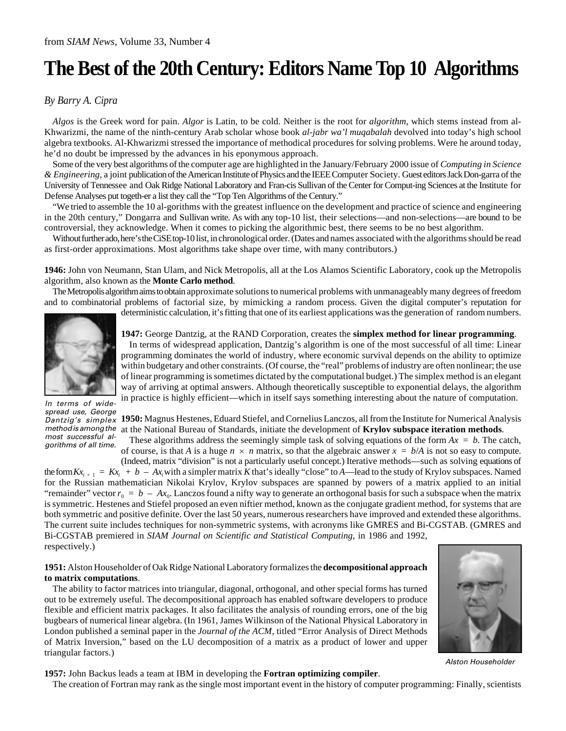# **The Best of the 20th Century: Editors Name Top 10 Algorithms**

#### *By Barry A. Cipra*

*Algos* is the Greek word for pain. *Algor* is Latin, to be cold. Neither is the root for *algorithm*, which stems instead from al-Khwarizmi, the name of the ninth-century Arab scholar whose book *al-jabr wa'l muqabalah* devolved into today's high school algebra textbooks. Al-Khwarizmi stressed the importance of methodical procedures for solving problems. Were he around today, he'd no doubt be impressed by the advances in his eponymous approach.

Some of the very best algorithms of the computer age are highlighted in the January/February 2000 issue of *Computing in Science & Engineering*, a joint publication of the American Institute of Physics and the IEEE Computer Society. Guest editors Jack Don-garra of the University of Tennessee and Oak Ridge National Laboratory and Fran-cis Sullivan of the Center for Comput-ing Sciences at the Institute for Defense Analyses put togeth-er a list they call the "Top Ten Algorithms of the Century."

"We tried to assemble the 10 al-gorithms with the greatest influence on the development and practice of science and engineering in the 20th century," Dongarra and Sullivan write. As with any top-10 list, their selections—and non-selections—are bound to be controversial, they acknowledge. When it comes to picking the algorithmic best, there seems to be no best algorithm.

Without further ado, here's the CiSE top-10 list, in chronological order. (Dates and names associated with the algorithms should be read as first-order approximations. Most algorithms take shape over time, with many contributors.)

**1946:** John von Neumann, Stan Ulam, and Nick Metropolis, all at the Los Alamos Scientific Laboratory, cook up the Metropolis algorithm, also known as the **Monte Carlo method**.

The Metropolis algorithm aims to obtain approximate solutions to numerical problems with unmanageably many degrees of freedom and to combinatorial problems of factorial size, by mimicking a random process. Given the digital computer's reputation for deterministic calculation, it's fitting that one of its earliest applications was the generation of random numbers.



In terms of widespread use, George most successful algorithms of all time.

**1947:** George Dantzig, at the RAND Corporation, creates the **simplex method for linear programming**.

In terms of widespread application, Dantzig's algorithm is one of the most successful of all time: Linear programming dominates the world of industry, where economic survival depends on the ability to optimize within budgetary and other constraints. (Of course, the "real" problems of industry are often nonlinear; the use of linear programming is sometimes dictated by the computational budget.) The simplex method is an elegant way of arriving at optimal answers. Although theoretically susceptible to exponential delays, the algorithm in practice is highly efficient—which in itself says something interesting about the nature of computation.

Dantzig's simplex 1950: Magnus Hestenes, Eduard Stiefel, and Cornelius Lanczos, all from the Institute for Numerical Analysis method is among the at the National Bureau of Standards, initiate the development of Krylov subspace iteration methods. These algorithms address the seemingly simple task of solving equations of the form  $Ax = b$ . The catch,

of course, is that *A* is a huge  $n \times n$  matrix, so that the algebraic answer  $x = b/A$  is not so easy to compute.

(Indeed, matrix "division" is not a particularly useful concept.) Iterative methods—such as solving equations of the form  $Kx_{i+1} = Kx_i + b - Ax_i$  with a simpler matrix K that's ideally "close" to A—lead to the study of Krylov subspaces. Named for the Russian mathematician Nikolai Krylov, Krylov subspaces are spanned by powers of a matrix applied to an initial "remainder" vector  $r_0 = b - Ax_0$ . Lanczos found a nifty way to generate an orthogonal basis for such a subspace when the matrix is symmetric. Hestenes and Stiefel proposed an even niftier method, known as the conjugate gradient method, for systems that are both symmetric and positive definite. Over the last 50 years, numerous researchers have improved and extended these algorithms. The current suite includes techniques for non-symmetric systems, with acronyms like GMRES and Bi-CGSTAB. (GMRES and Bi-CGSTAB premiered in *SIAM Journal on Scientific and Statistical Computing*, in 1986 and 1992, respectively.)

### **1951:** Alston Householder of Oak Ridge National Laboratory formalizes the **decompositional approach to matrix computations**.

The ability to factor matrices into triangular, diagonal, orthogonal, and other special forms has turned out to be extremely useful. The decompositional approach has enabled software developers to produce flexible and efficient matrix packages. It also facilitates the analysis of rounding errors, one of the big bugbears of numerical linear algebra. (In 1961, James Wilkinson of the National Physical Laboratory in London published a seminal paper in the *Journal of the ACM*, titled "Error Analysis of Direct Methods of Matrix Inversion," based on the LU decomposition of a matrix as a product of lower and upper triangular factors.)



Alston Householder

**1957:** John Backus leads a team at IBM in developing the **Fortran optimizing compiler**.

The creation of Fortran may rank as the single most important event in the history of computer programming: Finally, scientists